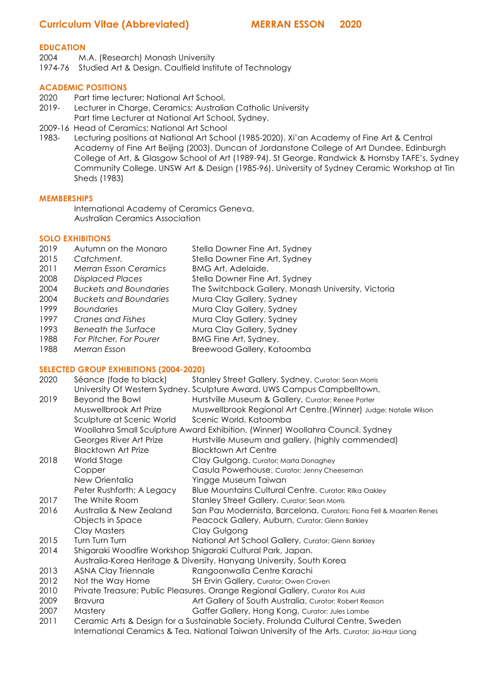# **Curriculum Vitae (Abbreviated) MERRAN ESSON 2020**

#### **EDUCATION**

2004 M.A. (Research) Monash University

1974-76 Studied Art & Design. Caulfield Institute of Technology

## **ACADEMIC POSITIONS**

- 2020 Part time lecturer; National Art School.
- 2019- Lecturer in Charge, Ceramics; Australian Catholic University Part time Lecturer at National Art School, Sydney.
- 2009-16 Head of Ceramics; National Art School

1983- Lecturing positions at National Art School (1985-2020). Xi'an Academy of Fine Art & Central Academy of Fine Art Beijing (2003). Duncan of Jordanstone College of Art Dundee, Edinburgh College of Art, & Glasgow School of Art (1989-94). St George, Randwick & Hornsby TAFE's, Sydney Community College. UNSW Art & Design (1985-96). University of Sydney Ceramic Workshop at Tin Sheds (1983)

#### **MEMBERSHIPS**

International Academy of Ceramics Geneva, Australian Ceramics Association

# **SOLO EXHIBITIONS**

| Autumn on the Monaro          | Stella Downer Fine Art, Sydney                      |
|-------------------------------|-----------------------------------------------------|
| Catchment.                    | Stella Downer Fine Art, Sydney                      |
| <b>Merran Esson Ceramics</b>  | <b>BMG Art, Adelaide.</b>                           |
| <b>Displaced Places</b>       | Stella Downer Fine Art, Sydney                      |
| <b>Buckets and Boundaries</b> | The Switchback Gallery, Monash University, Victoria |
| Buckets and Boundaries        | Mura Clay Gallery, Sydney                           |
| <b>Boundaries</b>             | Mura Clay Gallery, Sydney                           |
| Cranes and Fishes             | Mura Clay Gallery, Sydney                           |
| Beneath the Surface           | Mura Clay Gallery, Sydney                           |
| For Pitcher, For Pourer       | BMG Fine Art, Sydney.                               |
| Merran Esson                  | Breewood Gallery, Katoomba                          |
|                               |                                                     |

#### **SELECTED GROUP EXHIBITIONS (2004-2020)**

| 2020 | Séance (fade to black)     | Stanley Street Gallery. Sydney. Curator: Sean Morris                              |
|------|----------------------------|-----------------------------------------------------------------------------------|
|      |                            | University Of Western Sydney. Sculpture Award. UWS Campus Campbelltown,           |
| 2019 | Beyond the Bowl            | Hurstville Museum & Gallery, Curator; Renee Porter                                |
|      | Muswellbrook Art Prize     | Muswellbrook Regional Art Centre. (Winner) Judge; Natalie Wilson                  |
|      | Sculpture at Scenic World  | Scenic World, Katoomba                                                            |
|      |                            | Woollahra Small Sculpture Award Exhibition. (Winner) Woollahra Council. Sydney    |
|      | Georges River Art Prize    | Hurstville Museum and gallery. (highly commended)                                 |
|      | <b>Blacktown Art Prize</b> | <b>Blacktown Art Centre</b>                                                       |
| 2018 | World Stage                | Clay Gulgong. Curator; Marta Donaghey                                             |
|      | Copper                     | Casula Powerhouse. Curator; Jenny Cheeseman                                       |
|      | New Orientalia             | Yingge Museum Taiwan                                                              |
|      | Peter Rushforth; A Legacy  | Blue Mountains Cultural Centre. Curator; Rilka Oakley                             |
| 2017 | The White Room             | Stanley Street Gallery. Curator; Sean Morris                                      |
| 2016 | Australia & New Zealand    | San Pau Modernista, Barcelona, Curators; Fiona Fell & Maarten Renes               |
|      | Objects in Space           | Peacock Gallery, Auburn, Curator; Glenn Barkley                                   |
|      | Clay Masters               | Clay Gulgong                                                                      |
| 2015 | Turn Turn Turn             | National Art School Gallery, Curator; Glenn Barkley                               |
| 2014 |                            | Shigaraki Woodfire Workshop Shigaraki Cultural Park, Japan.                       |
|      |                            | Australia-Korea Heritage & Diversity. Hanyang University, South Korea             |
| 2013 | <b>ASNA Clay Triennale</b> | Rangoonwalla Centre Karachi                                                       |
| 2012 | Not the Way Home           | SH Ervin Gallery, Curator; Owen Craven                                            |
| 2010 |                            | Private Treasure; Public Pleasures. Orange Regional Gallery, Curator Ros Auld     |
| 2009 | <b>Bravura</b>             | Art Gallery of South Australia, Curator; Robert Reason                            |
| 2007 | Mastery                    | Gaffer Gallery, Hong Kong, Curator; Jules Lambe                                   |
| 2011 |                            | Ceramic Arts & Design for a Sustainable Society. Frolunda Cultural Centre, Sweden |

International Ceramics & Tea. National Taiwan University of the Arts. Curator; Jia-Haur Liang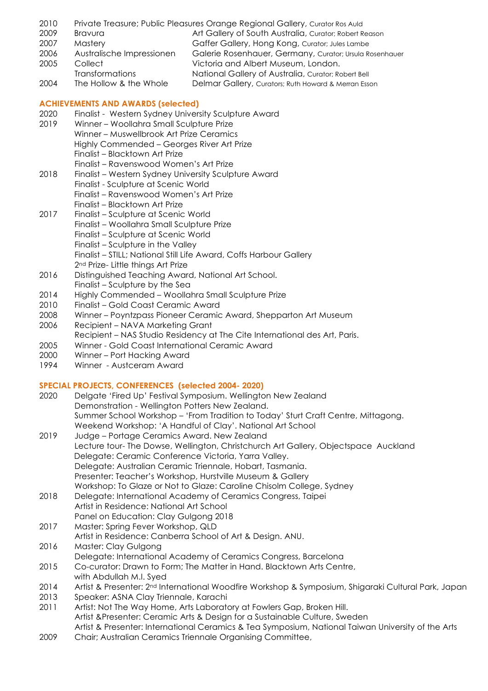- 2010 Private Treasure; Public Pleasures Orange Regional Gallery, Curator Ros Auld
- 2009 Bravura Art Gallery of South Australia, Curator; Robert Reason
- 
- 

2007 Mastery Gaffer Gallery, Hong Kong, Curator; Jules Lambe 2006 Australische Impressionen Galerie Rosenhauer, Germany, Curator; Ursula Rosenhauer 2005 Collect Victoria and Albert Museum, London. Transformations National Gallery of Australia, Curator; Robert Bell 2004 The Hollow & the Whole Delmar Gallery, Curators; Ruth Howard & Merran Esson

### **ACHIEVEMENTS AND AWARDS (selected)**

- 2020 Finalist Western Sydney University Sculpture Award
- 2019 Winner Woollahra Small Sculpture Prize
- Winner Muswellbrook Art Prize Ceramics
	- Highly Commended Georges River Art Prize
	- Finalist Blacktown Art Prize
		- Finalist Ravenswood Women's Art Prize
- 2018 Finalist Western Sydney University Sculpture Award
	- Finalist Sculpture at Scenic World
		- Finalist Ravenswood Women's Art Prize
		- Finalist Blacktown Art Prize
- 2017 Finalist Sculpture at Scenic World Finalist – Woollahra Small Sculpture Prize Finalist – Sculpture at Scenic World Finalist – Sculpture in the Valley
	- Finalist STILL; National Still Life Award, Coffs Harbour Gallery
	- 2<sup>nd</sup> Prize- Little things Art Prize
- 2016 Distinguished Teaching Award, National Art School.
- Finalist Sculpture by the Sea
- 2014 Highly Commended Woollahra Small Sculpture Prize
- 2010 Finalist Gold Coast Ceramic Award
- 2008 Winner Poyntzpass Pioneer Ceramic Award, Shepparton Art Museum
- 2006 Recipient NAVA Marketing Grant
- Recipient NAS Studio Residency at The Cite International des Art, Paris.
- 2005 Winner Gold Coast International Ceramic Award
- 2000 Winner Port Hacking Award
- 1994 Winner Austceram Award

# **SPECIAL PROJECTS, CONFERENCES (selected 2004- 2020)**

- 2020 Delgate 'Fired Up' Festival Symposium. Wellington New Zealand Demonstration - Wellington Potters New Zealand. Summer School Workshop – 'From Tradition to Today' Sturt Craft Centre, Mittagong. Weekend Workshop: 'A Handful of Clay'. National Art School
- 2019 Judge Portage Ceramics Award. New Zealand Lecture tour- The Dowse, Wellington, Christchurch Art Gallery, Objectspace Auckland Delegate: Ceramic Conference Victoria, Yarra Valley. Delegate: Australian Ceramic Triennale, Hobart, Tasmania. Presenter: Teacher's Workshop, Hurstville Museum & Gallery Workshop: To Glaze or Not to Glaze: Caroline Chisolm College, Sydney
- 2018 Delegate: International Academy of Ceramics Congress, Taipei Artist in Residence: National Art School Panel on Education: Clay Gulgong 2018
- 2017 Master: Spring Fever Workshop, QLD
- Artist in Residence: Canberra School of Art & Design. ANU.
- 2016 Master: Clay Gulgong
- Delegate: International Academy of Ceramics Congress, Barcelona
- 2015 Co-curator: Drawn to Form; The Matter in Hand. Blacktown Arts Centre, with Abdullah M.I. Syed
- 2014 Artist & Presenter: 2<sup>nd</sup> International Woodfire Workshop & Symposium, Shigaraki Cultural Park, Japan
- 2013 Speaker: ASNA Clay Triennale, Karachi
- 2011 Artist: Not The Way Home, Arts Laboratory at Fowlers Gap, Broken Hill. Artist &Presenter: Ceramic Arts & Design for a Sustainable Culture, Sweden Artist & Presenter: International Ceramics & Tea Symposium, National Taiwan University of the Arts
- 2009 Chair; Australian Ceramics Triennale Organising Committee,